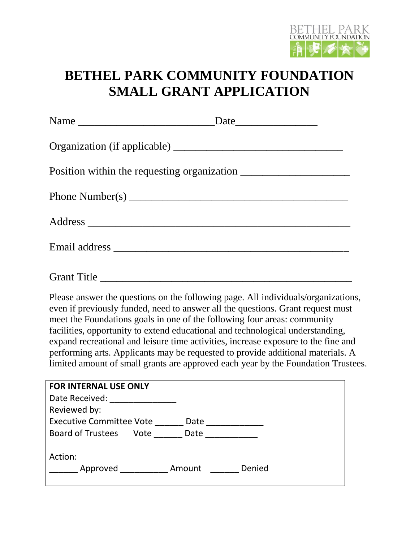

## **BETHEL PARK COMMUNITY FOUNDATION SMALL GRANT APPLICATION**

Please answer the questions on the following page. All individuals/organizations, even if previously funded, need to answer all the questions. Grant request must meet the Foundations goals in one of the following four areas: community facilities, opportunity to extend educational and technological understanding, expand recreational and leisure time activities, increase exposure to the fine and performing arts. Applicants may be requested to provide additional materials. A limited amount of small grants are approved each year by the Foundation Trustees.

| <b>FOR INTERNAL USE ONLY</b>             |
|------------------------------------------|
| Date Received:                           |
| Reviewed by:                             |
| <b>Executive Committee Vote</b><br>Date  |
| <b>Board of Trustees</b><br>Date<br>Vote |
| Action:<br>Denied<br>Amount<br>Approved  |